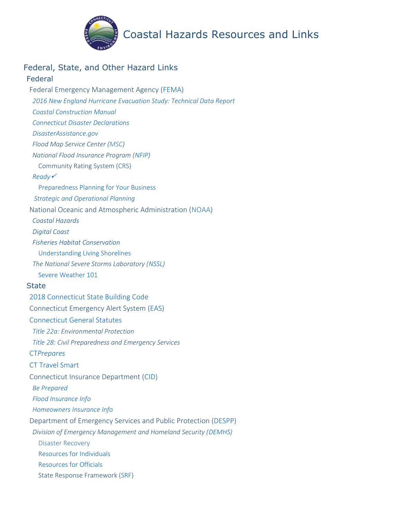

## Coastal Hazards Resources and Links

## Federal, State, and Other Hazard Links

#### Federal

Federal Emergency Management Agency [\(FEMA\)](https://www.fema.gov/) *2016 New England [Hurricane Evacuation Study: Technical Data Report](https://www.nae.usace.army.mil/Portals/74/docs/Topics/HurricaneStudies/2016%20State%20Updates/Massachusetts/New%20England%20Hurricane%20Evacuation%20Study.pdf) [Coastal Construction Manual](https://www.fema.gov/media-library/assets/documents/3293) [Connecticut Disaster Declarations](https://www.fema.gov/disasters/state-tribal-government/0/CT) [DisasterAssistance.gov](https://www.disasterassistance.gov/) [Flood](https://www.fema.gov/disasters/state-tribal-government/0/CT) Map Service Center [\(MSC\)](https://msc.fema.gov/portal/home) National Flood Insurance Program [\(NFIP\)](https://www.fema.gov/national-flood-insurance-program)* Community Rating System [\(CRS\)](https://www.fema.gov/national-flood-insurance-program-community-rating-system) *[Ready](https://www.ready.gov/)* [Preparedness Planning for Your Business](https://www.ready.gov/business) *[Strategic and Operational Planning](https://www.fema.gov/plan)* National Oceanic and Atmospheric Administration [\(NOAA\)](https://www.noaa.gov/) *[Coastal Hazards](https://oceanservice.noaa.gov/hazards/natural-hazards/) [Digital Coast](https://coast.noaa.gov/digitalcoast/) [Fisheries Habitat Conservation](https://www.fisheries.noaa.gov/topic/habitat-conservation)* [Understanding Living Shorelines](https://www.fisheries.noaa.gov/insight/understanding-living-shorelines) *The National Severe Storms Laboratory [\(NSSL\)](https://www.nssl.noaa.gov/)* [Severe Weather 101](https://www.nssl.noaa.gov/education/svrwx101/) **State** [2018 Connecticut State Building Code](https://portal.ct.gov/-/media/DAS/Office-of-State-Building-Inspector/2018-CT-State-Building-Code---Effective-10-01-18.pdf?la=en) Connecticut Emergency Alert System [\(EAS\)](https://www.ct.gov/ctalert/cwp/view.asp?a=3875&q=458434) [Connecticut General Statutes](https://www.cga.ct.gov/current/pub/titles.htm) *[Title 22a:](https://www.cga.ct.gov/current/pub/title_22a.htm) Environmental Protection [Title 28:](https://www.cga.ct.gov/current/pub/title_28.htm) Civil Preparedness and Emergency Services* CT*[Prepares](https://portal.ct.gov/CTPrepares/Stay-Informed)* [CT Travel Smart](https://cttravelsmart.org/) Connecticut Insurance Department [\(CID\)](https://portal.ct.gov/CID) *[Be Prepared](https://portal.ct.gov/CID/Natural-Catastrophe-Information/Be-Prepared) Flood [Insurance Info](https://portal.ct.gov/CID/General-Consumer-Information/Homeowners-Insurance) [Homeowners Insurance Info](https://portal.ct.gov/CID/General-Consumer-Information/Homeowners-Insurance)* Department of Emergency Services and Public Protection [\(DESPP\)](https://portal.ct.gov/DESPP) *Division of Emergency Management and Homeland Security [\(DEMHS\)](https://portal.ct.gov/DEMHS)* [Disaster Recovery](https://portal.ct.gov/DEMHS/Emergency-Management/Resources-For-Officials/Disaster-Recovery) [Resources for Individuals](https://portal.ct.gov/DEMHS/Emergency-Management/Resources-For-Individuals/Hurricane-Season-Preparedness/Resources-and-Links) [Resources for Officials](https://portal.ct.gov/DEMHS/Emergency-Management/Resources-For-Officials/Planning-For-All-Hazards) State Response Framework [\(SRF\)](https://portal.ct.gov/-/media/DEMHS/_docs/SRFV41pdf.pdf?la=en)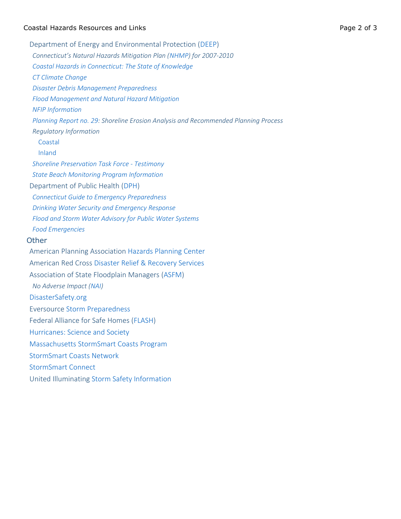#### Coastal Hazards Resources and Links Page 2 of 3

Department of Energy and Environmental Protection [\(DEEP\)](https://portal.ct.gov/DEEP) *Connecticut's Natural Hazards Mitigation Plan ([NHMP\)](https://portal.ct.gov/-/media/DEEP/water/hazard_mitigation/plan/hazardmitigationplanpdf.pdf?la=en) for 2007-2010 [Coastal Hazards in Connecticut: The State of Knowledge](https://portal.ct.gov/-/media/DEEP/coastal-resources/coastal_management/coastal_hazards/CTCoastalHazardspdf.pdf?la=en) [CT Climate Change](https://portal.ct.gov/DEEP/Climate-Change/Climate-Change) [Disaster Debris Management Preparedness](https://portal.ct.gov/DEEP/Waste-Management-and-Disposal/Disaster-Debris-Management/Disaster-Debris-Management-Preparedness) [Flood Management and Natural Hazard Mitigation](https://portal.ct.gov/DEEP/Water/Flood-Management/Flood-Management-and-Natural-Hazard-Mitigation) [NFIP Information](https://portal.ct.gov/DEEP/Water/Flood-Management/National-Flood-Insurance-Program-NFIP) [Planning Report no. 29:](https://portal.ct.gov/-/media/DEEP/coastal-resources/coastal_management/coastal_hazards/plngreport29pdf.pdf?la=en) Shoreline Erosion Analysis and Recommended Planning Process Regulatory Information* [Coastal](https://portal.ct.gov/DEEP/Coastal-Resources/Coastal-Permitting/Overview-of-the-Connecticut-Coastal-Permit-Program) [Inland](https://portal.ct.gov/DEEP/Water/Inland-Wetlands/Inland-Wetlands-and-Watercourses) *Shoreline [Preservation Task Force -](https://portal.ct.gov/DEEP/Coastal-Resources/Shoreline-Preservation-Task-Force----Testimony) Testimony [State Beach Monitoring Program Information](https://portal.ct.gov/DEEP/State-Parks/Recreation-Information/State-Swimming-Area-Water-Quality-Report)* Department of Public Health [\(DPH\)](https://portal.ct.gov/DPH) *[Connecticut Guide to Emergency Preparedness](https://portal.ct.gov/-/media/Departments-and-Agencies/DPH/dph/communications/preparedness/EmerPrepGuideFinalpdf.pdf?la=en) [Drinking Water Security and Emergency Response](https://portal.ct.gov/DPH/Drinking-Water/DWS/Drinking-Water-Security-and-Emergency-Response) [Flood and Storm Water Advisory for Public Water Systems](https://portal.ct.gov/-/media/Departments-and-Agencies/DPH/dph/drinking_water/pdf/FloodandStormWaterAdvisoryforPublicWaterSystempdf.pdf?la=enhttps://portal.ct.gov/-/media/Departments-and-Agencies/DPH/dph/drinking_water/pdf/FloodandStormWaterAdvisoryforPublicWaterSystempdf.pdf?la=en) [Food Emergencies](https://portal.ct.gov/DPH/Environmental-Health/Food-Protection/Food-Emergencies)* **Other** American Planning Association [Hazards Planning Center](https://www.planning.org/nationalcenters/hazards/) American Red Cross [Disaster Relief & Recovery Services](https://www.redcross.org/get-help/disaster-relief-and-recovery-services.html) Association of State Floodplain Managers [\(ASFM\)](https://www.floods.org/index.asp) *No Adverse Impact [\(NAI\)](https://www.floods.org/index.asp?menuID=460)* [DisasterSafety.org](https://disastersafety.org/) Eversource [Storm Preparedness](https://www.eversource.com/content/nh/residential/outages/storm-preparedness) Federal Alliance for Safe Homes [\(FLASH\)](http://www.flash.org/) [Hurricanes: Science and Society](http://hurricanescience.org/) [Massachusetts StormSmart Coasts Program](https://www.mass.gov/stormsmart-coasts-program) [StormSmart Coasts Network](https://www.cakex.org/tools/stormsmart-coasts-network) [StormSmart Connect](http://stormsmart.org/)

United Illuminating [Storm Safety Information](https://www.uinet.com/wps/portal/uinet/safety/stormsafety/storminformation/!ut/p/z1/tVJNc4IwFPwtPXhkXuSbI1LGjwpWAYFcmIgBcQQVU2v_fUPHGfFQ6XTaHJLZyXv7NpsFDBHgipyLnLBiX5EdxzFWE6nv2CPZQq4-lhU0n3mO-zL1RfQsQfiwQJUA_6QffbNM1NW_BAw4rdiBbSB-KyrKSF4ntzf00IaSNa176EQyyj74yfZ1eQeKKuP7V3nDdkiLNcSarK2MVJYEhaYrQTb6VCD6WhNUKSNqKmbSipCmOrScZDidDcxpYs1c3458iHsoGLu2bw4XidtSMroq8a7DvWb4HRi3lIRd1uPHxoWNuo6_6eKIuQbtxoAMReMMhqks5Yn4OhAhPBf0HYKqUb0D73f2zQN7wSf9m5MjBJOuHPGgF9vjEZs8TfuK0QuD6A_ixGnF2rGcnPtC2EZo7iBq9VxBu-dQBkGpS6UQoa2Sl_pFGIb6yXz6BKVqu2g!/dz/d5/L2dBISEvZ0FBIS9nQSEh/?WCM_GLOBAL_CONTEXT=%2FUINETAGR_Navigation%2FHeader%2FSafety%2FStormSafety%2FStormInformation)